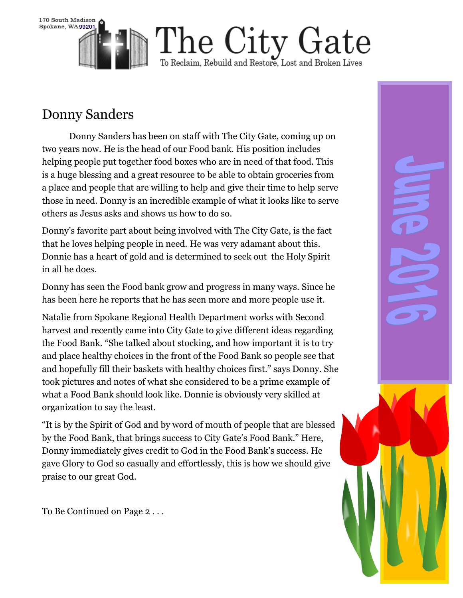

## Donny Sanders

Donny Sanders has been on staff with The City Gate, coming up on two years now. He is the head of our Food bank. His position includes helping people put together food boxes who are in need of that food. This is a huge blessing and a great resource to be able to obtain groceries from a place and people that are willing to help and give their time to help serve those in need. Donny is an incredible example of what it looks like to serve others as Jesus asks and shows us how to do so.

Donny's favorite part about being involved with The City Gate, is the fact that he loves helping people in need. He was very adamant about this. Donnie has a heart of gold and is determined to seek out the Holy Spirit in all he does.

Donny has seen the Food bank grow and progress in many ways. Since he has been here he reports that he has seen more and more people use it.

Natalie from Spokane Regional Health Department works with Second harvest and recently came into City Gate to give different ideas regarding the Food Bank. "She talked about stocking, and how important it is to try and place healthy choices in the front of the Food Bank so people see that and hopefully fill their baskets with healthy choices first." says Donny. She took pictures and notes of what she considered to be a prime example of what a Food Bank should look like. Donnie is obviously very skilled at organization to say the least.

"It is by the Spirit of God and by word of mouth of people that are blessed by the Food Bank, that brings success to City Gate's Food Bank." Here, Donny immediately gives credit to God in the Food Bank's success. He gave Glory to God so casually and effortlessly, this is how we should give praise to our great God.

To Be Continued on Page 2 . . .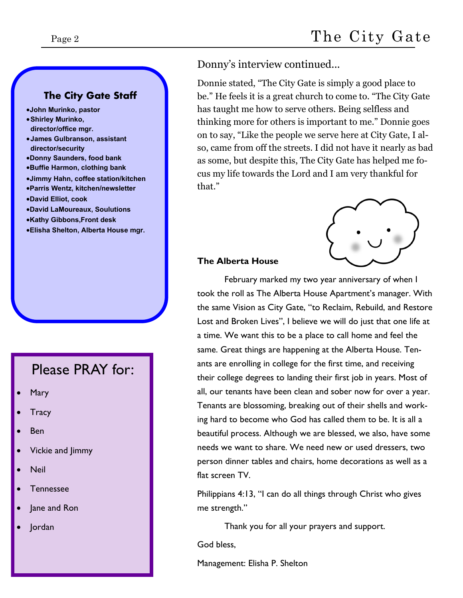#### **The City Gate Staff**

**John Murinko, pastor Shirley Murinko, director/office mgr. James Gulbranson, assistant director/security Donny Saunders, food bank Buffie Harmon, clothing bank Jimmy Hahn, coffee station/kitchen Parris Wentz, kitchen/newsletter David Elliot, cook David LaMoureaux, Soulutions Kathy Gibbons,Front desk Elisha Shelton, Alberta House mgr.**

## Please PRAY for:

- Mary
- **Tracy**
- Ben
- Vickie and Jimmy
- Neil
- Tennessee
- Jane and Ron
- Jordan

Donny's interview continued...

Donnie stated, "The City Gate is simply a good place to be." He feels it is a great church to come to. "The City Gate has taught me how to serve others. Being selfless and thinking more for others is important to me." Donnie goes on to say, "Like the people we serve here at City Gate, I also, came from off the streets. I did not have it nearly as bad as some, but despite this, The City Gate has helped me focus my life towards the Lord and I am very thankful for that."



#### **The Alberta House**

February marked my two year anniversary of when I took the roll as The Alberta House Apartment's manager. With the same Vision as City Gate, "to Reclaim, Rebuild, and Restore Lost and Broken Lives", I believe we will do just that one life at a time. We want this to be a place to call home and feel the same. Great things are happening at the Alberta House. Tenants are enrolling in college for the first time, and receiving their college degrees to landing their first job in years. Most of all, our tenants have been clean and sober now for over a year. Tenants are blossoming, breaking out of their shells and working hard to become who God has called them to be. It is all a beautiful process. Although we are blessed, we also, have some needs we want to share. We need new or used dressers, two person dinner tables and chairs, home decorations as well as a flat screen TV.

Philippians 4:13, "I can do all things through Christ who gives me strength."

Thank you for all your prayers and support.

God bless,

Management: Elisha P. Shelton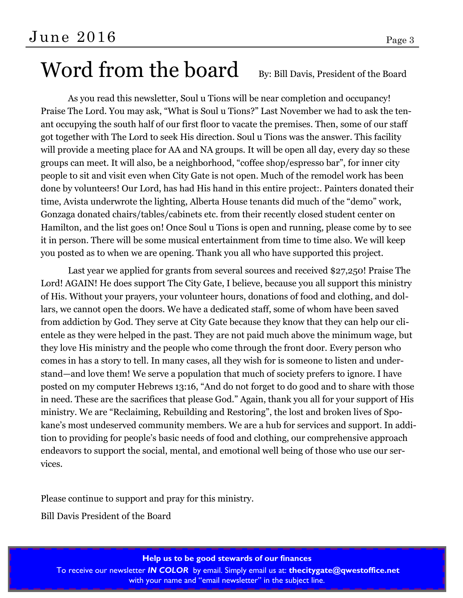# Word from the board By: Bill Davis, President of the Board

As you read this newsletter, Soul u Tions will be near completion and occupancy! Praise The Lord. You may ask, "What is Soul u Tions?" Last November we had to ask the tenant occupying the south half of our first floor to vacate the premises. Then, some of our staff got together with The Lord to seek His direction. Soul u Tions was the answer. This facility will provide a meeting place for AA and NA groups. It will be open all day, every day so these groups can meet. It will also, be a neighborhood, "coffee shop/espresso bar", for inner city people to sit and visit even when City Gate is not open. Much of the remodel work has been done by volunteers! Our Lord, has had His hand in this entire project:. Painters donated their time, Avista underwrote the lighting, Alberta House tenants did much of the "demo" work, Gonzaga donated chairs/tables/cabinets etc. from their recently closed student center on Hamilton, and the list goes on! Once Soul u Tions is open and running, please come by to see it in person. There will be some musical entertainment from time to time also. We will keep you posted as to when we are opening. Thank you all who have supported this project.

Last year we applied for grants from several sources and received \$27,250! Praise The Lord! AGAIN! He does support The City Gate, I believe, because you all support this ministry of His. Without your prayers, your volunteer hours, donations of food and clothing, and dollars, we cannot open the doors. We have a dedicated staff, some of whom have been saved from addiction by God. They serve at City Gate because they know that they can help our clientele as they were helped in the past. They are not paid much above the minimum wage, but they love His ministry and the people who come through the front door. Every person who comes in has a story to tell. In many cases, all they wish for is someone to listen and understand—and love them! We serve a population that much of society prefers to ignore. I have posted on my computer Hebrews 13:16, "And do not forget to do good and to share with those in need. These are the sacrifices that please God." Again, thank you all for your support of His ministry. We are "Reclaiming, Rebuilding and Restoring", the lost and broken lives of Spokane's most undeserved community members. We are a hub for services and support. In addition to providing for people's basic needs of food and clothing, our comprehensive approach endeavors to support the social, mental, and emotional well being of those who use our services.

Please continue to support and pray for this ministry.

Bill Davis President of the Board

**Help us to be good stewards of our finances**

To receive our newsletter *IN COLOR* by email. Simply email us at: **thecitygate@qwestoffice.net**  with your name and "email newsletter" in the subject line.